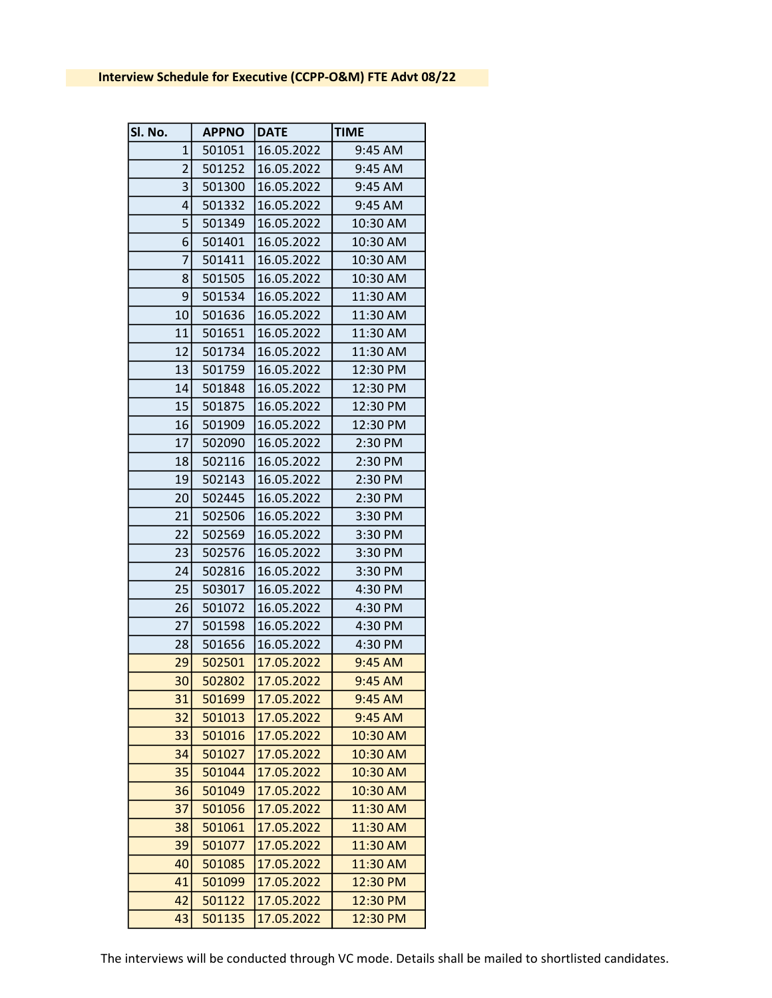| Sl. No.         | <b>APPNO</b> | <b>DATE</b> | <b>TIME</b> |
|-----------------|--------------|-------------|-------------|
| $\mathbf{1}$    | 501051       | 16.05.2022  | 9:45 AM     |
| $\overline{2}$  | 501252       | 16.05.2022  | 9:45 AM     |
| 3               | 501300       | 16.05.2022  | 9:45 AM     |
| 4               | 501332       | 16.05.2022  | 9:45 AM     |
| 5               | 501349       | 16.05.2022  | 10:30 AM    |
| 6               | 501401       | 16.05.2022  | 10:30 AM    |
| $\overline{7}$  | 501411       | 16.05.2022  | 10:30 AM    |
| 8               | 501505       | 16.05.2022  | 10:30 AM    |
| $\overline{9}$  | 501534       | 16.05.2022  | 11:30 AM    |
| 10              | 501636       | 16.05.2022  | 11:30 AM    |
| 11              | 501651       | 16.05.2022  | 11:30 AM    |
| 12              | 501734       | 16.05.2022  | 11:30 AM    |
| 13              | 501759       | 16.05.2022  | 12:30 PM    |
| 14              | 501848       | 16.05.2022  | 12:30 PM    |
| 15              | 501875       | 16.05.2022  | 12:30 PM    |
| 16              | 501909       | 16.05.2022  | 12:30 PM    |
| 17              | 502090       | 16.05.2022  | 2:30 PM     |
| 18              | 502116       | 16.05.2022  | 2:30 PM     |
| 19              | 502143       | 16.05.2022  | 2:30 PM     |
| 20 <sup>1</sup> | 502445       | 16.05.2022  | 2:30 PM     |
| 21              | 502506       | 16.05.2022  | 3:30 PM     |
| 22              | 502569       | 16.05.2022  | 3:30 PM     |
| 23              | 502576       | 16.05.2022  | 3:30 PM     |
| 24              | 502816       | 16.05.2022  | 3:30 PM     |
| 25              | 503017       | 16.05.2022  | 4:30 PM     |
| 26              | 501072       | 16.05.2022  | 4:30 PM     |
| 27              | 501598       | 16.05.2022  | 4:30 PM     |
| 28              | 501656       | 16.05.2022  | 4:30 PM     |
| 29              | 502501       | 17.05.2022  | 9:45 AM     |
| 30 <sup>1</sup> | 502802       | 17.05.2022  | 9:45 AM     |
| 31              | 501699       | 17.05.2022  | 9:45 AM     |
| 32              | 501013       | 17.05.2022  | 9:45 AM     |
| 33              | 501016       | 17.05.2022  | 10:30 AM    |
| 34              | 501027       | 17.05.2022  | 10:30 AM    |
| 35              | 501044       | 17.05.2022  | 10:30 AM    |
| 36              | 501049       | 17.05.2022  | 10:30 AM    |
| 37              | 501056       | 17.05.2022  | 11:30 AM    |
| 38              | 501061       | 17.05.2022  | 11:30 AM    |
| 39              | 501077       | 17.05.2022  | 11:30 AM    |
| 40              | 501085       | 17.05.2022  | 11:30 AM    |
| 41              | 501099       | 17.05.2022  | 12:30 PM    |
| 42              | 501122       | 17.05.2022  | 12:30 PM    |
| 43              | 501135       | 17.05.2022  | 12:30 PM    |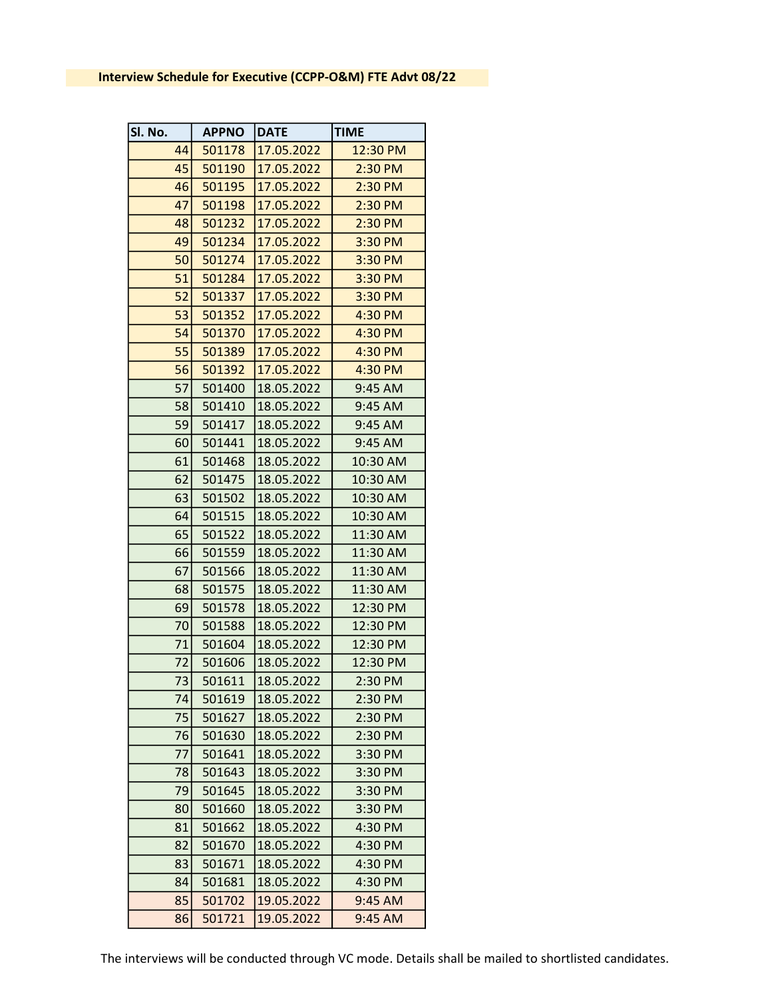| Sl. No. | <b>APPNO</b> | <b>DATE</b> | <b>TIME</b> |
|---------|--------------|-------------|-------------|
| 44      | 501178       | 17.05.2022  | 12:30 PM    |
| 45      | 501190       | 17.05.2022  | 2:30 PM     |
| 46      | 501195       | 17.05.2022  | 2:30 PM     |
| 47      | 501198       | 17.05.2022  | 2:30 PM     |
| 48      | 501232       | 17.05.2022  | 2:30 PM     |
| 49      | 501234       | 17.05.2022  | 3:30 PM     |
| 50      | 501274       | 17.05.2022  | 3:30 PM     |
| 51      | 501284       | 17.05.2022  | 3:30 PM     |
| 52      | 501337       | 17.05.2022  | 3:30 PM     |
| 53      | 501352       | 17.05.2022  | 4:30 PM     |
| 54      | 501370       | 17.05.2022  | 4:30 PM     |
| 55      | 501389       | 17.05.2022  | 4:30 PM     |
| 56      | 501392       | 17.05.2022  | 4:30 PM     |
| 57      | 501400       | 18.05.2022  | $9:45$ AM   |
| 58      | 501410       | 18.05.2022  | $9:45$ AM   |
| 59      | 501417       | 18.05.2022  | $9:45$ AM   |
| 60      | 501441       | 18.05.2022  | 9:45 AM     |
| 61      | 501468       | 18.05.2022  | 10:30 AM    |
| 62      | 501475       | 18.05.2022  | 10:30 AM    |
| 63      | 501502       | 18.05.2022  | 10:30 AM    |
| 64      | 501515       | 18.05.2022  | 10:30 AM    |
| 65      | 501522       | 18.05.2022  | 11:30 AM    |
| 66      | 501559       | 18.05.2022  | 11:30 AM    |
| 67      | 501566       | 18.05.2022  | 11:30 AM    |
| 68      | 501575       | 18.05.2022  | 11:30 AM    |
| 69      | 501578       | 18.05.2022  | 12:30 PM    |
| 70      | 501588       | 18.05.2022  | 12:30 PM    |
| 71      | 501604       | 18.05.2022  | 12:30 PM    |
| 72      | 501606       | 18.05.2022  | 12:30 PM    |
| 73      | 501611       | 18.05.2022  | 2:30 PM     |
| 74      | 501619       | 18.05.2022  | 2:30 PM     |
| 75      | 501627       | 18.05.2022  | 2:30 PM     |
| 76      | 501630       | 18.05.2022  | 2:30 PM     |
| 77      | 501641       | 18.05.2022  | 3:30 PM     |
| 78      | 501643       | 18.05.2022  | 3:30 PM     |
| 79      | 501645       | 18.05.2022  | 3:30 PM     |
| 80      | 501660       | 18.05.2022  | 3:30 PM     |
| 81      | 501662       | 18.05.2022  | 4:30 PM     |
| 82      | 501670       | 18.05.2022  | 4:30 PM     |
| 83      | 501671       | 18.05.2022  | 4:30 PM     |
| 84      | 501681       | 18.05.2022  | 4:30 PM     |
| 85      | 501702       | 19.05.2022  | $9:45$ AM   |
| 86      | 501721       | 19.05.2022  | 9:45 AM     |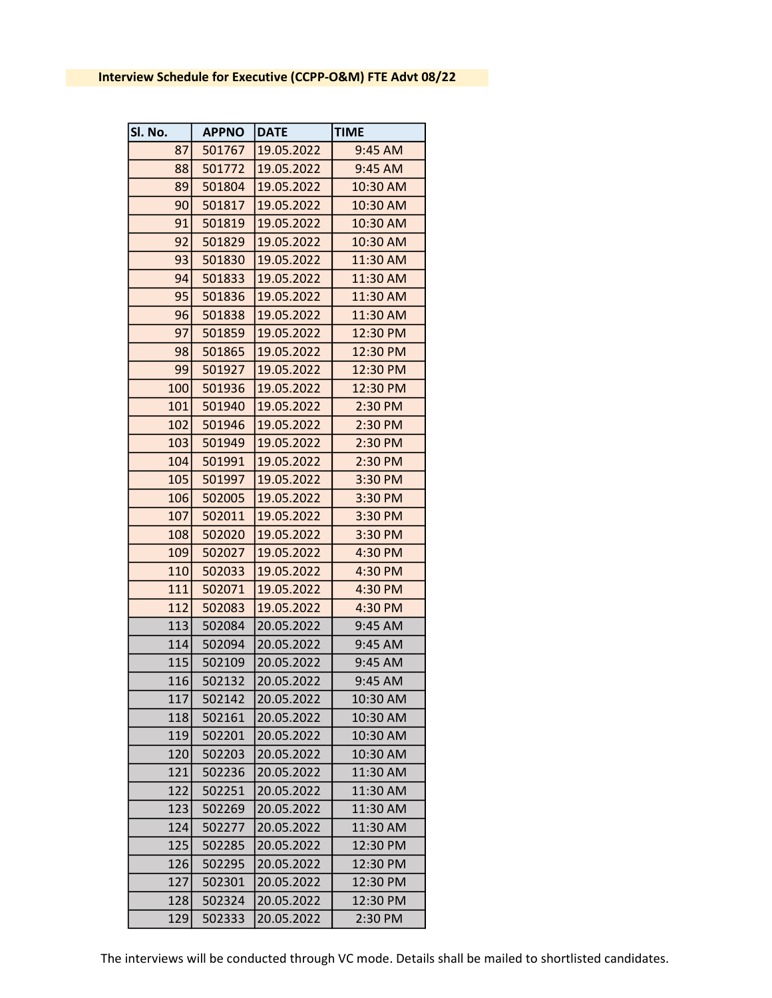| Sl. No. | <b>APPNO</b> | <b>DATE</b> | <b>TIME</b> |
|---------|--------------|-------------|-------------|
| 87      | 501767       | 19.05.2022  | 9:45 AM     |
| 88      | 501772       | 19.05.2022  | 9:45 AM     |
| 89      | 501804       | 19.05.2022  | 10:30 AM    |
| 90      | 501817       | 19.05.2022  | 10:30 AM    |
| 91      | 501819       | 19.05.2022  | 10:30 AM    |
| 92      | 501829       | 19.05.2022  | 10:30 AM    |
| 93      | 501830       | 19.05.2022  | 11:30 AM    |
| 94      | 501833       | 19.05.2022  | 11:30 AM    |
| 95      | 501836       | 19.05.2022  | 11:30 AM    |
| 96      | 501838       | 19.05.2022  | 11:30 AM    |
| 97      | 501859       | 19.05.2022  | 12:30 PM    |
| 98      | 501865       | 19.05.2022  | 12:30 PM    |
| 99      | 501927       | 19.05.2022  | 12:30 PM    |
| 100     | 501936       | 19.05.2022  | 12:30 PM    |
| 101     | 501940       | 19.05.2022  | $2:30$ PM   |
| 102     | 501946       | 19.05.2022  | 2:30 PM     |
| 103     | 501949       | 19.05.2022  | 2:30 PM     |
| 104     | 501991       | 19.05.2022  | 2:30 PM     |
| 105     | 501997       | 19.05.2022  | 3:30 PM     |
| 106     | 502005       | 19.05.2022  | 3:30 PM     |
| 107     | 502011       | 19.05.2022  | 3:30 PM     |
| 108     | 502020       | 19.05.2022  | 3:30 PM     |
| 109     | 502027       | 19.05.2022  | 4:30 PM     |
| 110     | 502033       | 19.05.2022  | 4:30 PM     |
| 111     | 502071       | 19.05.2022  | 4:30 PM     |
| 112     | 502083       | 19.05.2022  | 4:30 PM     |
| 113     | 502084       | 20.05.2022  | 9:45 AM     |
| 114     | 502094       | 20.05.2022  | 9:45 AM     |
| 115     | 502109       | 20.05.2022  | 9:45 AM     |
| 116     | 502132       | 20.05.2022  | 9:45 AM     |
| 117     | 502142       | 20.05.2022  | 10:30 AM    |
| 118     | 502161       | 20.05.2022  | 10:30 AM    |
| 119     | 502201       | 20.05.2022  | 10:30 AM    |
| 120     | 502203       | 20.05.2022  | 10:30 AM    |
| 121     | 502236       | 20.05.2022  | 11:30 AM    |
| 122     | 502251       | 20.05.2022  | 11:30 AM    |
| 123     | 502269       | 20.05.2022  | 11:30 AM    |
| 124     | 502277       | 20.05.2022  | 11:30 AM    |
| 125     | 502285       | 20.05.2022  | 12:30 PM    |
| 126     | 502295       | 20.05.2022  | 12:30 PM    |
| 127     | 502301       | 20.05.2022  | 12:30 PM    |
| 128     | 502324       | 20.05.2022  | 12:30 PM    |
| 129     | 502333       | 20.05.2022  | 2:30 PM     |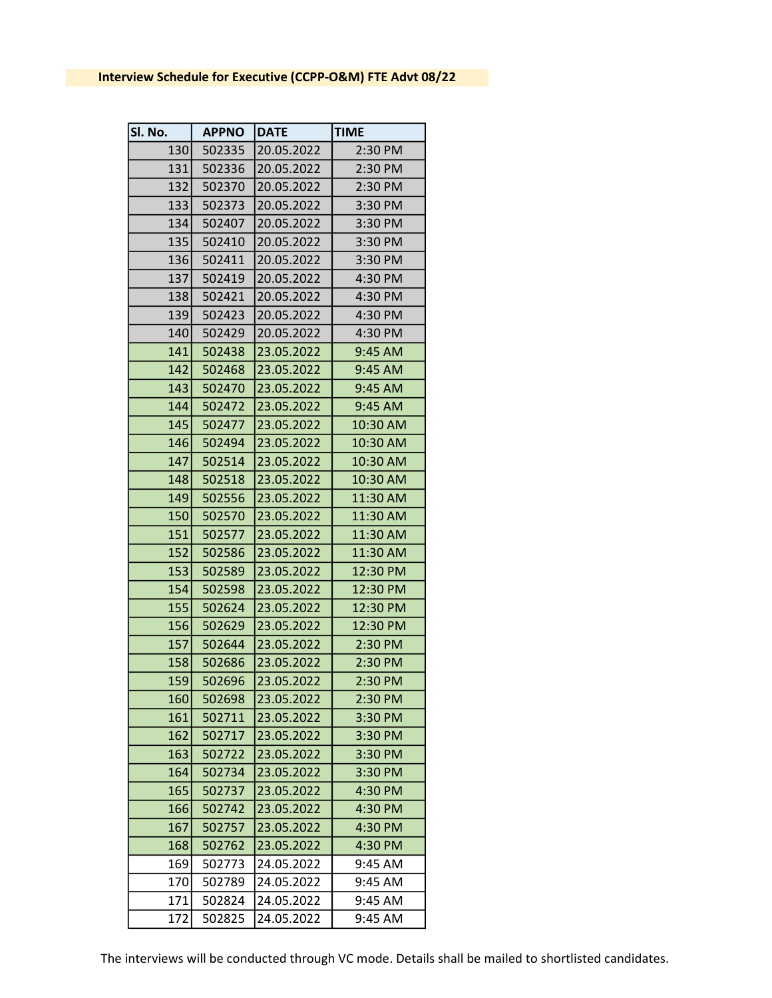| Sl. No. | <b>APPNO</b> | DATE       | <b>TIME</b> |
|---------|--------------|------------|-------------|
| 130     | 502335       | 20.05.2022 | 2:30 PM     |
| 131     | 502336       | 20.05.2022 | 2:30 PM     |
| 132     | 502370       | 20.05.2022 | 2:30 PM     |
| 133     | 502373       | 20.05.2022 | 3:30 PM     |
| 134     | 502407       | 20.05.2022 | 3:30 PM     |
| 135     | 502410       | 20.05.2022 | 3:30 PM     |
| 136     | 502411       | 20.05.2022 | 3:30 PM     |
| 137     | 502419       | 20.05.2022 | 4:30 PM     |
| 138     | 502421       | 20.05.2022 | 4:30 PM     |
| 139     | 502423       | 20.05.2022 | 4:30 PM     |
| 140     | 502429       | 20.05.2022 | 4:30 PM     |
| 141     | 502438       | 23.05.2022 | 9:45 AM     |
| 142     | 502468       | 23.05.2022 | 9:45 AM     |
| 143     | 502470       | 23.05.2022 | 9:45 AM     |
| 144     | 502472       | 23.05.2022 | 9:45 AM     |
| 145     | 502477       | 23.05.2022 | 10:30 AM    |
| 146     | 502494       | 23.05.2022 | 10:30 AM    |
| 147     | 502514       | 23.05.2022 | 10:30 AM    |
| 148     | 502518       | 23.05.2022 | 10:30 AM    |
| 149     | 502556       | 23.05.2022 | 11:30 AM    |
| 150     | 502570       | 23.05.2022 | 11:30 AM    |
| 151     | 502577       | 23.05.2022 | 11:30 AM    |
| 152     | 502586       | 23.05.2022 | 11:30 AM    |
| 153     | 502589       | 23.05.2022 | 12:30 PM    |
| 154     | 502598       | 23.05.2022 | 12:30 PM    |
| 155     | 502624       | 23.05.2022 | 12:30 PM    |
| 156     | 502629       | 23.05.2022 | 12:30 PM    |
| 157     | 502644       | 23.05.2022 | 2:30 PM     |
| 158     | 502686       | 23.05.2022 | 2:30 PM     |
| 159     | 502696       | 23.05.2022 | 2:30 PM     |
| 160     | 502698       | 23.05.2022 | 2:30 PM     |
| 161     | 502711       | 23.05.2022 | 3:30 PM     |
| 162     | 502717       | 23.05.2022 | 3:30 PM     |
| 163     | 502722       | 23.05.2022 | 3:30 PM     |
| 164     | 502734       | 23.05.2022 | 3:30 PM     |
| 165     | 502737       | 23.05.2022 | 4:30 PM     |
| 166     | 502742       | 23.05.2022 | 4:30 PM     |
| 167     | 502757       | 23.05.2022 | 4:30 PM     |
| 168     | 502762       | 23.05.2022 | 4:30 PM     |
| 169     | 502773       | 24.05.2022 | 9:45 AM     |
| 170     | 502789       | 24.05.2022 | 9:45 AM     |
| 171     | 502824       | 24.05.2022 | 9:45 AM     |
| 172     | 502825       | 24.05.2022 | 9:45 AM     |